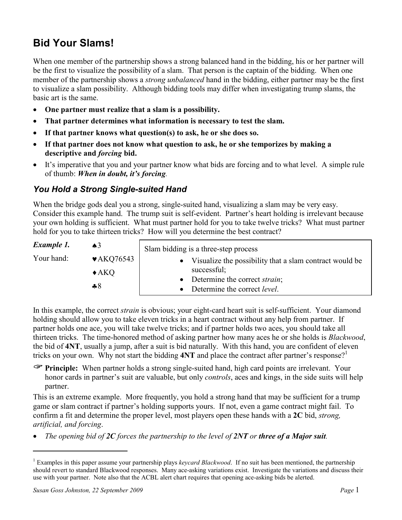# Bid Your Slams!

When one member of the partnership shows a strong balanced hand in the bidding, his or her partner will be the first to visualize the possibility of a slam. That person is the captain of the bidding. When one member of the partnership shows a *strong unbalanced* hand in the bidding, either partner may be the first to visualize a slam possibility. Although bidding tools may differ when investigating trump slams, the basic art is the same.

- One partner must realize that a slam is a possibility.
- That partner determines what information is necessary to test the slam.
- If that partner knows what question(s) to ask, he or she does so.
- If that partner does not know what question to ask, he or she temporizes by making a descriptive and forcing bid.
- It's imperative that you and your partner know what bids are forcing and to what level. A simple rule of thumb: When in doubt, it's forcing.

## You Hold a Strong Single-suited Hand

When the bridge gods deal you a strong, single-suited hand, visualizing a slam may be very easy. Consider this example hand. The trump suit is self-evident. Partner's heart holding is irrelevant because your own holding is sufficient. What must partner hold for you to take twelve tricks? What must partner hold for you to take thirteen tricks? How will you determine the best contract?

| Example 1. | $\triangle^3$                  | Slam bidding is a three-step process                    |  |  |
|------------|--------------------------------|---------------------------------------------------------|--|--|
| Your hand: | $\blacktriangleright$ AKQ76543 | Visualize the possibility that a slam contract would be |  |  |
|            | $\triangle$ AKQ                | successful;                                             |  |  |
|            | 48                             | Determine the correct <i>strain</i> ;                   |  |  |
|            |                                | Determine the correct <i>level</i> .                    |  |  |

In this example, the correct *strain* is obvious; your eight-card heart suit is self-sufficient. Your diamond holding should allow you to take eleven tricks in a heart contract without any help from partner. If partner holds one ace, you will take twelve tricks; and if partner holds two aces, you should take all thirteen tricks. The time-honored method of asking partner how many aces he or she holds is Blackwood, the bid of 4NT, usually a jump, after a suit is bid naturally. With this hand, you are confident of eleven tricks on your own. Why not start the bidding  $4NT$  and place the contract after partner's response?<sup>1</sup>

 Principle: When partner holds a strong single-suited hand, high card points are irrelevant. Your honor cards in partner's suit are valuable, but only *controls*, aces and kings, in the side suits will help partner.

This is an extreme example. More frequently, you hold a strong hand that may be sufficient for a trump game or slam contract if partner's holding supports yours. If not, even a game contract might fail. To confirm a fit and determine the proper level, most players open these hands with a 2C bid, strong, artificial, and forcing.

• The opening bid of 2C forces the partnership to the level of 2NT or three of a Major suit.

<sup>&</sup>lt;sup>1</sup> Examples in this paper assume your partnership plays keycard Blackwood. If no suit has been mentioned, the partnership should revert to standard Blackwood responses. Many ace-asking variations exist. Investigate the variations and discuss their use with your partner. Note also that the ACBL alert chart requires that opening ace-asking bids be alerted.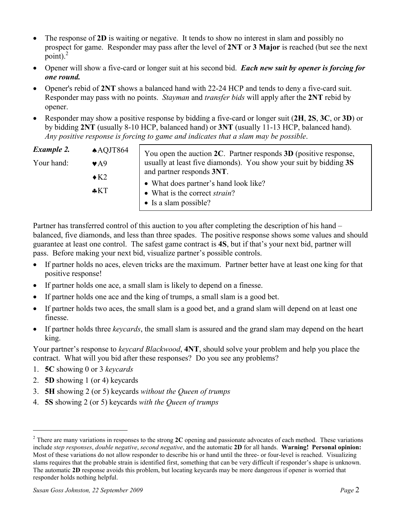- The response of 2D is waiting or negative. It tends to show no interest in slam and possibly no prospect for game. Responder may pass after the level of 2NT or 3 Major is reached (but see the next point). $^{2}$
- Opener will show a five-card or longer suit at his second bid. Each new suit by opener is forcing for one round.
- Opener's rebid of 2NT shows a balanced hand with 22-24 HCP and tends to deny a five-card suit. Responder may pass with no points. Stayman and transfer bids will apply after the 2NT rebid by opener.
- Responder may show a positive response by bidding a five-card or longer suit (2H, 2S, 3C, or 3D) or by bidding 2NT (usually 8-10 HCP, balanced hand) or 3NT (usually 11-13 HCP, balanced hand). Any positive response is forcing to game and indicates that a slam may be possible.

| <b>Example 2.</b> | $\triangle$ AQJT864 | You open the auction $2C$ . Partner responds $3D$ (positive response, |
|-------------------|---------------------|-----------------------------------------------------------------------|
| Your hand:        | $\bullet$ A9        | usually at least five diamonds). You show your suit by bidding 3S     |
|                   | $\triangle$ K2      | and partner responds 3NT.                                             |
|                   |                     | • What does partner's hand look like?                                 |
|                   | $*KT$               | • What is the correct <i>strain</i> ?                                 |
|                   |                     | $\bullet$ Is a slam possible?                                         |

Partner has transferred control of this auction to you after completing the description of his hand – balanced, five diamonds, and less than three spades. The positive response shows some values and should guarantee at least one control. The safest game contract is 4S, but if that's your next bid, partner will pass. Before making your next bid, visualize partner's possible controls.

- If partner holds no aces, eleven tricks are the maximum. Partner better have at least one king for that positive response!
- If partner holds one ace, a small slam is likely to depend on a finesse.
- If partner holds one ace and the king of trumps, a small slam is a good bet.
- If partner holds two aces, the small slam is a good bet, and a grand slam will depend on at least one finesse.
- If partner holds three keycards, the small slam is assured and the grand slam may depend on the heart king.

Your partner's response to *keycard Blackwood*, **4NT**, should solve your problem and help you place the contract. What will you bid after these responses? Do you see any problems?

- 1. 5C showing 0 or 3 keycards
- 2. 5D showing 1 (or 4) keycards

- 3. 5H showing 2 (or 5) keycards without the Queen of trumps
- 4. 5S showing 2 (or 5) keycards with the Queen of trumps

<sup>&</sup>lt;sup>2</sup> There are many variations in responses to the strong  $2C$  opening and passionate advocates of each method. These variations include *step responses*, *double negative*, *second negative*, and the automatic 2D for all hands. Warning! Personal opinion: Most of these variations do not allow responder to describe his or hand until the three- or four-level is reached. Visualizing slams requires that the probable strain is identified first, something that can be very difficult if responder's shape is unknown. The automatic 2D response avoids this problem, but locating keycards may be more dangerous if opener is worried that responder holds nothing helpful.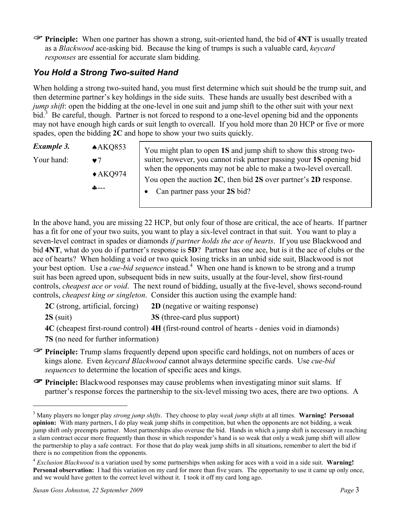**Principle:** When one partner has shown a strong, suit-oriented hand, the bid of 4NT is usually treated as a Blackwood ace-asking bid. Because the king of trumps is such a valuable card, keycard responses are essential for accurate slam bidding.

# You Hold a Strong Two-suited Hand

When holding a strong two-suited hand, you must first determine which suit should be the trump suit, and then determine partner's key holdings in the side suits. These hands are usually best described with a jump shift: open the bidding at the one-level in one suit and jump shift to the other suit with your next bid.<sup>3</sup> Be careful, though. Partner is not forced to respond to a one-level opening bid and the opponents may not have enough high cards or suit length to overcall. If you hold more than 20 HCP or five or more spades, open the bidding 2C and hope to show your two suits quickly.

| Example 3. | $\triangle$ AKQ853              | You might plan to open 1S and jump shift to show this strong two-                                                                        |  |  |
|------------|---------------------------------|------------------------------------------------------------------------------------------------------------------------------------------|--|--|
| Your hand: | $\bullet$ 7                     | suiter; however, you cannot risk partner passing your 1S opening bid<br>when the opponents may not be able to make a two-level overcall. |  |  |
|            | $\triangle$ AKQ974<br>$A - - -$ | You open the auction $2C$ , then bid $2S$ over partner's $2D$ response.<br>Can partner pass your 2S bid?<br>$\bullet$                    |  |  |

In the above hand, you are missing 22 HCP, but only four of those are critical, the ace of hearts. If partner has a fit for one of your two suits, you want to play a six-level contract in that suit. You want to play a seven-level contract in spades or diamonds *if partner holds the ace of hearts*. If you use Blackwood and bid 4NT, what do you do if partner's response is 5D? Partner has one ace, but is it the ace of clubs or the ace of hearts? When holding a void or two quick losing tricks in an unbid side suit, Blackwood is not your best option. Use a *cue-bid sequence* instead.<sup>4</sup> When one hand is known to be strong and a trump suit has been agreed upon, subsequent bids in new suits, usually at the four-level, show first-round controls, cheapest ace or void. The next round of bidding, usually at the five-level, shows second-round controls, cheapest king or singleton. Consider this auction using the example hand:

2C (strong, artificial, forcing) 2D (negative or waiting response)

2S (suit) 3S (three-card plus support)

4C (cheapest first-round control) 4H (first-round control of hearts - denies void in diamonds)

7S (no need for further information)

- Principle: Trump slams frequently depend upon specific card holdings, not on numbers of aces or kings alone. Even keycard Blackwood cannot always determine specific cards. Use cue-bid sequences to determine the location of specific aces and kings.
- Principle: Blackwood responses may cause problems when investigating minor suit slams. If partner's response forces the partnership to the six-level missing two aces, there are two options. A

 $3$  Many players no longer play *strong jump shifts*. They choose to play *weak jump shifts* at all times. Warning! Personal opinion: With many partners, I do play weak jump shifts in competition, but when the opponents are not bidding, a weak jump shift only preempts partner. Most partnerships also overuse the bid. Hands in which a jump shift is necessary in reaching a slam contract occur more frequently than those in which responder's hand is so weak that only a weak jump shift will allow the partnership to play a safe contract. For those that do play weak jump shifts in all situations, remember to alert the bid if there is no competition from the opponents.

 $4$  Exclusion Blackwood is a variation used by some partnerships when asking for aces with a void in a side suit. Warning! Personal observation: I had this variation on my card for more than five years. The opportunity to use it came up only once, and we would have gotten to the correct level without it. I took it off my card long ago.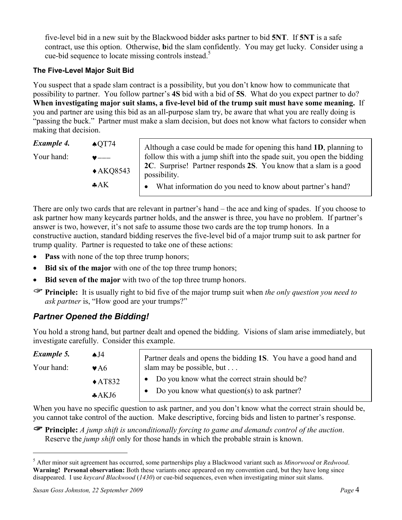five-level bid in a new suit by the Blackwood bidder asks partner to bid 5NT. If 5NT is a safe contract, use this option. Otherwise, bid the slam confidently. You may get lucky. Consider using a cue-bid sequence to locate missing controls instead. 5

#### The Five-Level Major Suit Bid

You suspect that a spade slam contract is a possibility, but you don't know how to communicate that possibility to partner. You follow partner's 4S bid with a bid of 5S. What do you expect partner to do? When investigating major suit slams, a five-level bid of the trump suit must have some meaning. If you and partner are using this bid as an all-purpose slam try, be aware that what you are really doing is "passing the buck." Partner must make a slam decision, but does not know what factors to consider when making that decision.

| Example 4. | $\triangle$ OT74    | Although a case could be made for opening this hand 1D, planning to               |
|------------|---------------------|-----------------------------------------------------------------------------------|
| Your hand: | $\bullet$ ---       | follow this with a jump shift into the spade suit, you open the bidding           |
| A K        | $\triangle$ AKQ8543 | 2C. Surprise! Partner responds 2S. You know that a slam is a good<br>possibility. |
|            |                     | What information do you need to know about partner's hand?                        |

There are only two cards that are relevant in partner's hand – the ace and king of spades. If you choose to ask partner how many keycards partner holds, and the answer is three, you have no problem. If partner's answer is two, however, it's not safe to assume those two cards are the top trump honors. In a constructive auction, standard bidding reserves the five-level bid of a major trump suit to ask partner for trump quality. Partner is requested to take one of these actions:

- Pass with none of the top three trump honors;
- Bid six of the major with one of the top three trump honors;
- Bid seven of the major with two of the top three trump honors.
- **Principle:** It is usually right to bid five of the major trump suit when the only question you need to ask partner is, "How good are your trumps?"

# Partner Opened the Bidding!

You hold a strong hand, but partner dealt and opened the bidding. Visions of slam arise immediately, but investigate carefully. Consider this example.

| Example 5. | AJ4                      | Partner deals and opens the bidding 1S. You have a good hand and |  |  |
|------------|--------------------------|------------------------------------------------------------------|--|--|
| Your hand: | $\blacktriangleright$ A6 | slam may be possible, but                                        |  |  |
|            | $\triangle$ AT832        | Do you know what the correct strain should be?<br>$\bullet$      |  |  |
|            | AAKJ6                    | Do you know what question(s) to ask partner?                     |  |  |

When you have no specific question to ask partner, and you don't know what the correct strain should be, you cannot take control of the auction. Make descriptive, forcing bids and listen to partner's response.

 $\mathcal F$  Principle: A jump shift is unconditionally forcing to game and demands control of the auction. Reserve the *jump shift* only for those hands in which the probable strain is known.

<sup>&</sup>lt;sup>5</sup> After minor suit agreement has occurred, some partnerships play a Blackwood variant such as Minorwood or Redwood. Warning! Personal observation: Both these variants once appeared on my convention card, but they have long since disappeared. I use keycard Blackwood (1430) or cue-bid sequences, even when investigating minor suit slams.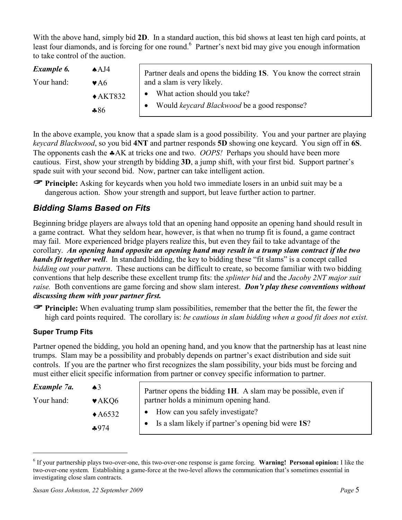With the above hand, simply bid 2D. In a standard auction, this bid shows at least ten high card points, at least four diamonds, and is forcing for one round.<sup>6</sup> Partner's next bid may give you enough information to take control of the auction.

| Example 6. | A A J4                                             | Partner deals and opens the bidding 1S. You know the correct strain |  |
|------------|----------------------------------------------------|---------------------------------------------------------------------|--|
| Your hand: | $\blacktriangleright$ A6                           | and a slam is very likely.                                          |  |
|            | What action should you take?<br>$\triangle$ AKT832 |                                                                     |  |
|            | $*86$                                              | Would <i>keycard Blackwood</i> be a good response?                  |  |

In the above example, you know that a spade slam is a good possibility. You and your partner are playing keycard Blackwood, so you bid 4NT and partner responds 5D showing one keycard. You sign off in 6S. The opponents cash the  $A$ AK at tricks one and two. *OOPS!* Perhaps you should have been more cautious. First, show your strength by bidding 3D, a jump shift, with your first bid. Support partner's spade suit with your second bid. Now, partner can take intelligent action.

**Principle:** Asking for keycards when you hold two immediate losers in an unbid suit may be a dangerous action. Show your strength and support, but leave further action to partner.

### Bidding Slams Based on Fits

Beginning bridge players are always told that an opening hand opposite an opening hand should result in a game contract. What they seldom hear, however, is that when no trump fit is found, a game contract may fail. More experienced bridge players realize this, but even they fail to take advantage of the corollary. An opening hand opposite an opening hand may result in a trump slam contract if the two hands fit together well. In standard bidding, the key to bidding these "fit slams" is a concept called bidding out your pattern. These auctions can be difficult to create, so become familiar with two bidding conventions that help describe these excellent trump fits: the splinter bid and the Jacoby 2NT major suit raise. Both conventions are game forcing and show slam interest. Don't play these conventions without discussing them with your partner first.

 $\mathcal F$  Principle: When evaluating trump slam possibilities, remember that the better the fit, the fewer the high card points required. The corollary is: be cautious in slam bidding when a good fit does not exist.

#### Super Trump Fits

 $\overline{a}$ 

Partner opened the bidding, you hold an opening hand, and you know that the partnership has at least nine trumps. Slam may be a possibility and probably depends on partner's exact distribution and side suit controls. If you are the partner who first recognizes the slam possibility, your bids must be forcing and must either elicit specific information from partner or convey specific information to partner.

| Example 7a. | $\triangle$ 3              | Partner opens the bidding 1H. A slam may be possible, even if |
|-------------|----------------------------|---------------------------------------------------------------|
| Your hand:  | $\blacktriangleright$ AKQ6 | partner holds a minimum opening hand.                         |
|             | $\triangle$ A6532          | How can you safely investigate?                               |
|             | $*974$                     | Is a slam likely if partner's opening bid were 1S?            |

<sup>&</sup>lt;sup>6</sup> If your partnership plays two-over-one, this two-over-one response is game forcing. Warning! Personal opinion: I like the two-over-one system. Establishing a game-force at the two-level allows the communication that's sometimes essential in investigating close slam contracts.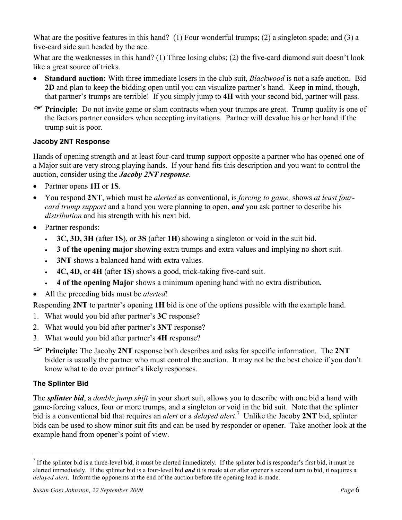What are the positive features in this hand? (1) Four wonderful trumps; (2) a singleton spade; and (3) a five-card side suit headed by the ace.

What are the weaknesses in this hand? (1) Three losing clubs; (2) the five-card diamond suit doesn't look like a great source of tricks.

- Standard auction: With three immediate losers in the club suit, *Blackwood* is not a safe auction. Bid 2D and plan to keep the bidding open until you can visualize partner's hand. Keep in mind, though, that partner's trumps are terrible! If you simply jump to 4H with your second bid, partner will pass.
- **Principle:** Do not invite game or slam contracts when your trumps are great. Trump quality is one of the factors partner considers when accepting invitations. Partner will devalue his or her hand if the trump suit is poor.

#### Jacoby 2NT Response

Hands of opening strength and at least four-card trump support opposite a partner who has opened one of a Major suit are very strong playing hands. If your hand fits this description and you want to control the auction, consider using the Jacoby 2NT response.

- Partner opens 1H or 1S.
- You respond 2NT, which must be *alerted* as conventional, is *forcing to game*, shows at least fourcard trump support and a hand you were planning to open, and you ask partner to describe his distribution and his strength with his next bid.
- Partner responds:
	- 3C, 3D, 3H (after 1S), or 3S (after 1H) showing a singleton or void in the suit bid.
	- 3 of the opening major showing extra trumps and extra values and implying no short suit.
	- 3NT shows a balanced hand with extra values.
	- 4C, 4D, or 4H (after 1S) shows a good, trick-taking five-card suit.
	- 4 of the opening Major shows a minimum opening hand with no extra distribution.
- All the preceding bids must be *alerted*!

Responding 2NT to partner's opening 1H bid is one of the options possible with the example hand.

- 1. What would you bid after partner's 3C response?
- 2. What would you bid after partner's 3NT response?
- 3. What would you bid after partner's 4H response?
- Principle: The Jacoby 2NT response both describes and asks for specific information. The 2NT bidder is usually the partner who must control the auction. It may not be the best choice if you don't know what to do over partner's likely responses.

### The Splinter Bid

 $\overline{a}$ 

The *splinter bid*, a *double jump shift* in your short suit, allows you to describe with one bid a hand with game-forcing values, four or more trumps, and a singleton or void in the bid suit. Note that the splinter bid is a conventional bid that requires an *alert* or a *delayed alert*.<sup>7</sup> Unlike the Jacoby 2NT bid, splinter bids can be used to show minor suit fits and can be used by responder or opener. Take another look at the example hand from opener's point of view.

If the splinter bid is a three-level bid, it must be alerted immediately. If the splinter bid is responder's first bid, it must be alerted immediately. If the splinter bid is a four-level bid **and** it is made at or after opener's second turn to bid, it requires a delayed alert. Inform the opponents at the end of the auction before the opening lead is made.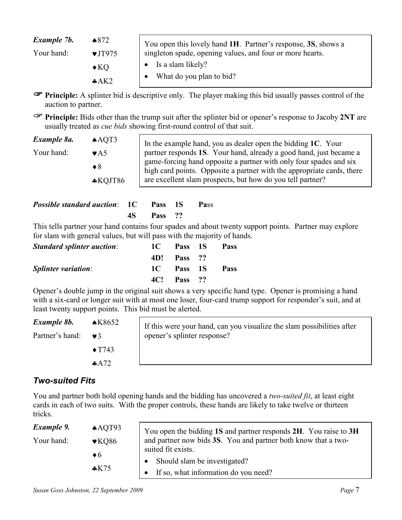| Example 7b. | $\triangle$ 872            | You open this lovely hand 1H. Partner's response, 3S, shows a |  |
|-------------|----------------------------|---------------------------------------------------------------|--|
| Your hand:  | $\blacktriangledown$ JT975 | singleton spade, opening values, and four or more hearts.     |  |
|             | $\triangle$ KQ             | Is a slam likely?                                             |  |
|             | A K2                       | What do you plan to bid?                                      |  |

 Principle: A splinter bid is descriptive only. The player making this bid usually passes control of the auction to partner.

 Principle: Bids other than the trump suit after the splinter bid or opener's response to Jacoby 2NT are usually treated as cue bids showing first-round control of that suit.

| Example 8a. | AQT3                          | In the example hand, you as dealer open the bidding $1C$ . Your                                                                              |
|-------------|-------------------------------|----------------------------------------------------------------------------------------------------------------------------------------------|
| Your hand:  | $\blacktriangleright$ A.5     | partner responds 1S. Your hand, already a good hand, just became a                                                                           |
|             | $\bullet 8$                   | game-forcing hand opposite a partner with only four spades and six<br>high card points. Opposite a partner with the appropriate cards, there |
|             | $\text{\textsterling}$ KQJT86 | are excellent slam prospects, but how do you tell partner?                                                                                   |

| <b>Possible standard auction: 1C</b> Pass 1S Pass |            |  |
|---------------------------------------------------|------------|--|
|                                                   | 4S Pass ?? |  |

This tells partner your hand contains four spades and about twenty support points. Partner may explore for slam with general values, but will pass with the majority of hands.

| <b>Standard splinter auction:</b> | 1C - | Pass 1S            | Pass |
|-----------------------------------|------|--------------------|------|
|                                   |      | 4D! Pass ??        |      |
| <b>Splinter variation:</b>        |      | 1C Pass 1S         | Pass |
|                                   |      | <b>4C!</b> Pass ?? |      |

Opener's double jump in the original suit shows a very specific hand type. Opener is promising a hand with a six-card or longer suit with at most one loser, four-card trump support for responder's suit, and at least twenty support points. This bid must be alerted.

| Example 8b.     | $\triangle$ K8652 | If this were your hand, can you visualize the slam possibilities after<br>opener's splinter response? |
|-----------------|-------------------|-------------------------------------------------------------------------------------------------------|
| Partner's hand: | $\mathbf{v}$ 3    |                                                                                                       |
|                 | $\triangle$ T743  |                                                                                                       |
|                 | AA72              |                                                                                                       |
|                 |                   |                                                                                                       |

### Two-suited Fits

You and partner both hold opening hands and the bidding has uncovered a *two-suited fit*, at least eight cards in each of two suits. With the proper controls, these hands are likely to take twelve or thirteen tricks.

| Example 9.<br>Your hand: | AQT93<br>$\blacktriangledown$ KQ86<br>$\bullet$ 6 | You open the bidding 1S and partner responds 2H. You raise to 3H<br>and partner now bids 3S. You and partner both know that a two-<br>suited fit exists. |
|--------------------------|---------------------------------------------------|----------------------------------------------------------------------------------------------------------------------------------------------------------|
|                          | $\cdot$ K75                                       | Should slam be investigated?                                                                                                                             |
|                          |                                                   | If so, what information do you need?                                                                                                                     |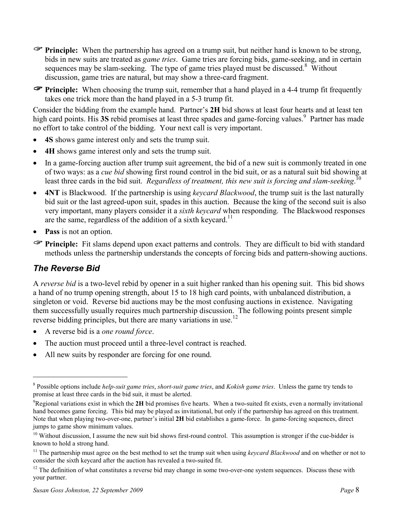**Principle:** When the partnership has agreed on a trump suit, but neither hand is known to be strong, bids in new suits are treated as game tries. Game tries are forcing bids, game-seeking, and in certain sequences may be slam-seeking. The type of game tries played must be discussed.<sup>8</sup> Without discussion, game tries are natural, but may show a three-card fragment.

 $\mathcal F$  Principle: When choosing the trump suit, remember that a hand played in a 4-4 trump fit frequently takes one trick more than the hand played in a 5-3 trump fit.

Consider the bidding from the example hand. Partner's 2H bid shows at least four hearts and at least ten high card points. His 3S rebid promises at least three spades and game-forcing values.<sup>9</sup> Partner has made no effort to take control of the bidding. Your next call is very important.

- 4S shows game interest only and sets the trump suit.
- 4H shows game interest only and sets the trump suit.
- In a game-forcing auction after trump suit agreement, the bid of a new suit is commonly treated in one of two ways: as a cue bid showing first round control in the bid suit, or as a natural suit bid showing at least three cards in the bid suit. Regardless of treatment, this new suit is forcing and slam-seeking.<sup>10</sup>
- 4NT is Blackwood. If the partnership is using *keycard Blackwood*, the trump suit is the last naturally bid suit or the last agreed-upon suit, spades in this auction. Because the king of the second suit is also very important, many players consider it a sixth keycard when responding. The Blackwood responses are the same, regardless of the addition of a sixth keycard.<sup>11</sup>
- **Pass** is not an option.
- Principle: Fit slams depend upon exact patterns and controls. They are difficult to bid with standard methods unless the partnership understands the concepts of forcing bids and pattern-showing auctions.

### The Reverse Bid

 $\overline{a}$ 

A reverse bid is a two-level rebid by opener in a suit higher ranked than his opening suit. This bid shows a hand of no trump opening strength, about 15 to 18 high card points, with unbalanced distribution, a singleton or void. Reverse bid auctions may be the most confusing auctions in existence. Navigating them successfully usually requires much partnership discussion. The following points present simple reverse bidding principles, but there are many variations in use.<sup>12</sup>

- A reverse bid is a *one round force*.
- The auction must proceed until a three-level contract is reached.
- All new suits by responder are forcing for one round.

<sup>&</sup>lt;sup>8</sup> Possible options include *help-suit game tries, short-suit game tries, and Kokish game tries. Unless the game try tends to* promise at least three cards in the bid suit, it must be alerted.

 $\rm{P}$ Regional variations exist in which the 2H bid promises five hearts. When a two-suited fit exists, even a normally invitational hand becomes game forcing. This bid may be played as invitational, but only if the partnership has agreed on this treatment. Note that when playing two-over-one, partner's initial 2H bid establishes a game-force. In game-forcing sequences, direct jumps to game show minimum values.

 $10$  Without discussion, I assume the new suit bid shows first-round control. This assumption is stronger if the cue-bidder is known to hold a strong hand.

<sup>&</sup>lt;sup>11</sup> The partnership must agree on the best method to set the trump suit when using *keycard Blackwood* and on whether or not to consider the sixth keycard after the auction has revealed a two-suited fit.

 $12$  The definition of what constitutes a reverse bid may change in some two-over-one system sequences. Discuss these with your partner.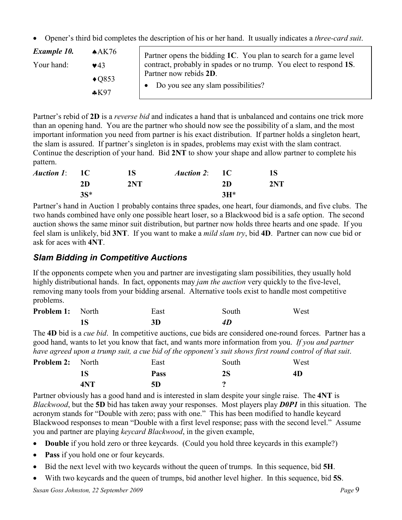• Opener's third bid completes the description of his or her hand. It usually indicates a *three-card suit.* 

| Example 10.<br>Your hand: | $A$ K <sub>76</sub><br>$\blacktriangledown$ 43<br>$\triangle$ Q853<br>$*K97$ | Partner opens the bidding 1C. You plan to search for a game level<br>contract, probably in spades or no trump. You elect to respond 1S.<br>Partner now rebids 2D.<br>Do you see any slam possibilities? |
|---------------------------|------------------------------------------------------------------------------|---------------------------------------------------------------------------------------------------------------------------------------------------------------------------------------------------------|
|---------------------------|------------------------------------------------------------------------------|---------------------------------------------------------------------------------------------------------------------------------------------------------------------------------------------------------|

Partner's rebid of 2D is a *reverse bid* and indicates a hand that is unbalanced and contains one trick more than an opening hand. You are the partner who should now see the possibility of a slam, and the most important information you need from partner is his exact distribution. If partner holds a singleton heart, the slam is assured. If partner's singleton is in spades, problems may exist with the slam contract. Continue the description of your hand. Bid 2NT to show your shape and allow partner to complete his pattern.

| <i>Auction 1</i> : 1C |        | <b>1S</b> | <i>Auction 2</i> : 1C |        | 18  |
|-----------------------|--------|-----------|-----------------------|--------|-----|
|                       | 2D     | 2NT       |                       | 2D     | 2NT |
|                       | $3S^*$ |           |                       | $3H^*$ |     |

Partner's hand in Auction 1 probably contains three spades, one heart, four diamonds, and five clubs. The two hands combined have only one possible heart loser, so a Blackwood bid is a safe option. The second auction shows the same minor suit distribution, but partner now holds three hearts and one spade. If you feel slam is unlikely, bid **3NT**. If you want to make a *mild slam try*, bid **4D**. Partner can now cue bid or ask for aces with 4NT.

### Slam Bidding in Competitive Auctions

If the opponents compete when you and partner are investigating slam possibilities, they usually hold highly distributional hands. In fact, opponents may *jam the auction* very quickly to the five-level, removing many tools from your bidding arsenal. Alternative tools exist to handle most competitive problems.

| <b>Problem 1:</b> North | East | South | West |
|-------------------------|------|-------|------|
|                         | 3D   | 4D    |      |

The 4D bid is a *cue bid*. In competitive auctions, cue bids are considered one-round forces. Partner has a good hand, wants to let you know that fact, and wants more information from you. If you and partner have agreed upon a trump suit, a cue bid of the opponent's suit shows first round control of that suit.

| <b>Problem 2:</b> North |            | East        | South         | West |
|-------------------------|------------|-------------|---------------|------|
|                         |            | <b>Pass</b> | $2\mathrm{S}$ | 4D   |
|                         | <b>4NT</b> | 5D          |               |      |

Partner obviously has a good hand and is interested in slam despite your single raise. The 4NT is Blackwood, but the 5D bid has taken away your responses. Most players play **D0P1** in this situation. The acronym stands for "Double with zero; pass with one." This has been modified to handle keycard Blackwood responses to mean "Double with a first level response; pass with the second level." Assume you and partner are playing keycard Blackwood, in the given example,

- Double if you hold zero or three keycards. (Could you hold three keycards in this example?)
- Pass if you hold one or four keycards.
- Bid the next level with two keycards without the queen of trumps. In this sequence, bid 5H.
- With two keycards and the queen of trumps, bid another level higher. In this sequence, bid 5S.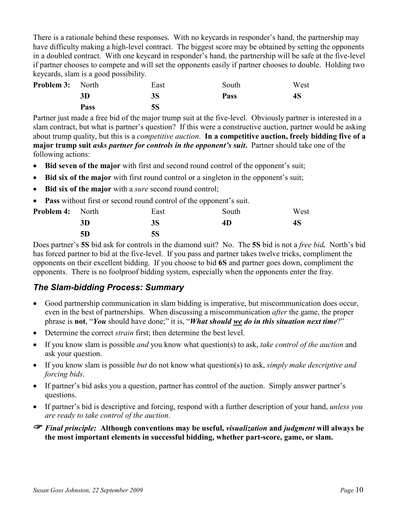There is a rationale behind these responses. With no keycards in responder's hand, the partnership may have difficulty making a high-level contract. The biggest score may be obtained by setting the opponents in a doubled contract. With one keycard in responder's hand, the partnership will be safe at the five-level if partner chooses to compete and will set the opponents easily if partner chooses to double. Holding two keycards, slam is a good possibility.

| <b>Problem 3:</b> North |             | East      | South       | West |
|-------------------------|-------------|-----------|-------------|------|
|                         | 3D          | 3S        | <b>Pass</b> | 48   |
|                         | <b>Pass</b> | <b>5S</b> |             |      |

Partner just made a free bid of the major trump suit at the five-level. Obviously partner is interested in a slam contract, but what is partner's question? If this were a constructive auction, partner would be asking about trump quality, but this is a *competitive auction*. In a **competitive auction, freely bidding five of a** major trump suit *asks partner for controls in the opponent's suit*. Partner should take one of the following actions:

- Bid seven of the major with first and second round control of the opponent's suit;
- Bid six of the major with first round control or a singleton in the opponent's suit;
- Bid six of the major with a *sure* second round control;
- Pass without first or second round control of the opponent's suit.

| <b>Problem 4:</b> North |    | East      | South | West |
|-------------------------|----|-----------|-------|------|
|                         | 3D | 3S        | 4D    | 48   |
|                         | 5D | <b>5S</b> |       |      |

Does partner's **5S** bid ask for controls in the diamond suit? No. The **5S** bid is not a *free bid*. North's bid has forced partner to bid at the five-level. If you pass and partner takes twelve tricks, compliment the opponents on their excellent bidding. If you choose to bid 6S and partner goes down, compliment the opponents. There is no foolproof bidding system, especially when the opponents enter the fray.

### The Slam-bidding Process: Summary

- Good partnership communication in slam bidding is imperative, but miscommunication does occur, even in the best of partnerships. When discussing a miscommunication after the game, the proper phrase is not, "You should have done;" it is, "What should we do in this situation next time?"
- Determine the correct *strain* first; then determine the best level.
- If you know slam is possible *and* you know what question(s) to ask, *take control of the auction* and ask your question.
- If you know slam is possible *but* do not know what question(s) to ask, *simply make descriptive and* forcing bids.
- If partner's bid asks you a question, partner has control of the auction. Simply answer partner's questions.
- If partner's bid is descriptive and forcing, respond with a further description of your hand, *unless you* are ready to take control of the auction.
- $\mathcal F$  Final principle: Although conventions may be useful, visualization and judgment will always be the most important elements in successful bidding, whether part-score, game, or slam.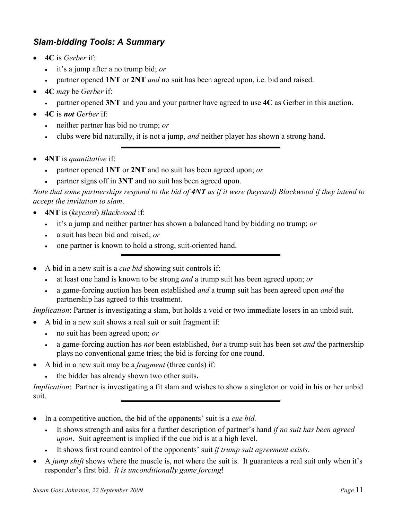# Slam-bidding Tools: A Summary

- $\bullet$  4C is Gerber if
	- it's a jump after a no trump bid; or
	- partner opened 1NT or 2NT *and* no suit has been agreed upon, i.e. bid and raised.
- **4C** may be *Gerber* if:
	- partner opened 3NT and you and your partner have agreed to use 4C as Gerber in this auction.
- $\bullet$  4C is not Gerber if:
	- neither partner has bid no trump; or
	- clubs were bid naturally, it is not a jump, *and* neither player has shown a strong hand.
- **4NT** is quantitative if:
	- partner opened 1NT or 2NT and no suit has been agreed upon; or
	- partner signs off in 3NT and no suit has been agreed upon.

Note that some partnerships respond to the bid of  $4NT$  as if it were (keycard) Blackwood if they intend to accept the invitation to slam.

- 4NT is (keycard) Blackwood if:
	- it's a jump and neither partner has shown a balanced hand by bidding no trump; or
	- a suit has been bid and raised; or
	- one partner is known to hold a strong, suit-oriented hand.
- A bid in a new suit is a *cue bid* showing suit controls if:
	- at least one hand is known to be strong *and* a trump suit has been agreed upon; *or*
	- a game-forcing auction has been established *and* a trump suit has been agreed upon *and* the partnership has agreed to this treatment.

Implication: Partner is investigating a slam, but holds a void or two immediate losers in an unbid suit.

- A bid in a new suit shows a real suit or suit fragment if:
	- no suit has been agreed upon; *or*
	- a game-forcing auction has *not* been established, *but* a trump suit has been set *and* the partnership plays no conventional game tries; the bid is forcing for one round.
- A bid in a new suit may be a *fragment* (three cards) if:
	- the bidder has already shown two other suits.

Implication: Partner is investigating a fit slam and wishes to show a singleton or void in his or her unbid suit.

- In a competitive auction, the bid of the opponents' suit is a *cue bid*.
	- It shows strength and asks for a further description of partner's hand *if no suit has been agreed* upon. Suit agreement is implied if the cue bid is at a high level.
	- It shows first round control of the opponents' suit *if trump suit agreement exists*.
- A jump shift shows where the muscle is, not where the suit is. It guarantees a real suit only when it's responder's first bid. It is unconditionally game forcing!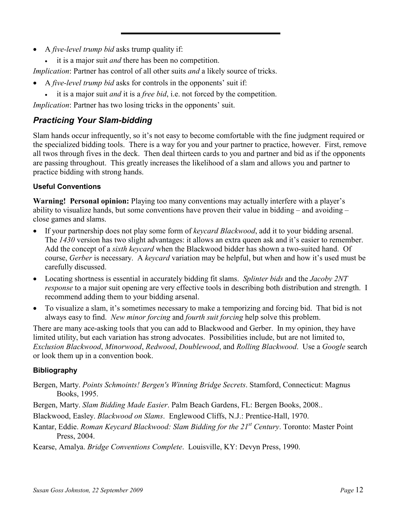- A *five-level trump bid* asks trump quality if:
	- it is a major suit *and* there has been no competition.

Implication: Partner has control of all other suits and a likely source of tricks.

- A *five-level trump bid* asks for controls in the opponents' suit if:
	- $\bullet$  it is a major suit *and* it is a *free bid*, i.e. not forced by the competition.

Implication: Partner has two losing tricks in the opponents' suit.

# Practicing Your Slam-bidding

Slam hands occur infrequently, so it's not easy to become comfortable with the fine judgment required or the specialized bidding tools. There is a way for you and your partner to practice, however. First, remove all twos through fives in the deck. Then deal thirteen cards to you and partner and bid as if the opponents are passing throughout. This greatly increases the likelihood of a slam and allows you and partner to practice bidding with strong hands.

### Useful Conventions

Warning! Personal opinion: Playing too many conventions may actually interfere with a player's ability to visualize hands, but some conventions have proven their value in bidding – and avoiding – close games and slams.

- If your partnership does not play some form of *keycard Blackwood*, add it to your bidding arsenal. The 1430 version has two slight advantages: it allows an extra queen ask and it's easier to remember. Add the concept of a sixth keycard when the Blackwood bidder has shown a two-suited hand. Of course, Gerber is necessary. A keycard variation may be helpful, but when and how it's used must be carefully discussed.
- Locating shortness is essential in accurately bidding fit slams. Splinter bids and the Jacoby 2NT response to a major suit opening are very effective tools in describing both distribution and strength. I recommend adding them to your bidding arsenal.
- To visualize a slam, it's sometimes necessary to make a temporizing and forcing bid. That bid is not always easy to find. New minor forcing and fourth suit forcing help solve this problem.

There are many ace-asking tools that you can add to Blackwood and Gerber. In my opinion, they have limited utility, but each variation has strong advocates. Possibilities include, but are not limited to, Exclusion Blackwood, Minorwood, Redwood, Doublewood, and Rolling Blackwood. Use a Google search or look them up in a convention book.

### Bibliography

- Bergen, Marty. Points Schmoints! Bergen's Winning Bridge Secrets. Stamford, Connecticut: Magnus Books, 1995.
- Bergen, Marty. Slam Bidding Made Easier. Palm Beach Gardens, FL: Bergen Books, 2008..
- Blackwood, Easley. Blackwood on Slams. Englewood Cliffs, N.J.: Prentice-Hall, 1970.
- Kantar, Eddie. Roman Keycard Blackwood: Slam Bidding for the 21<sup>st</sup> Century. Toronto: Master Point Press, 2004.

Kearse, Amalya. Bridge Conventions Complete. Louisville, KY: Devyn Press, 1990.